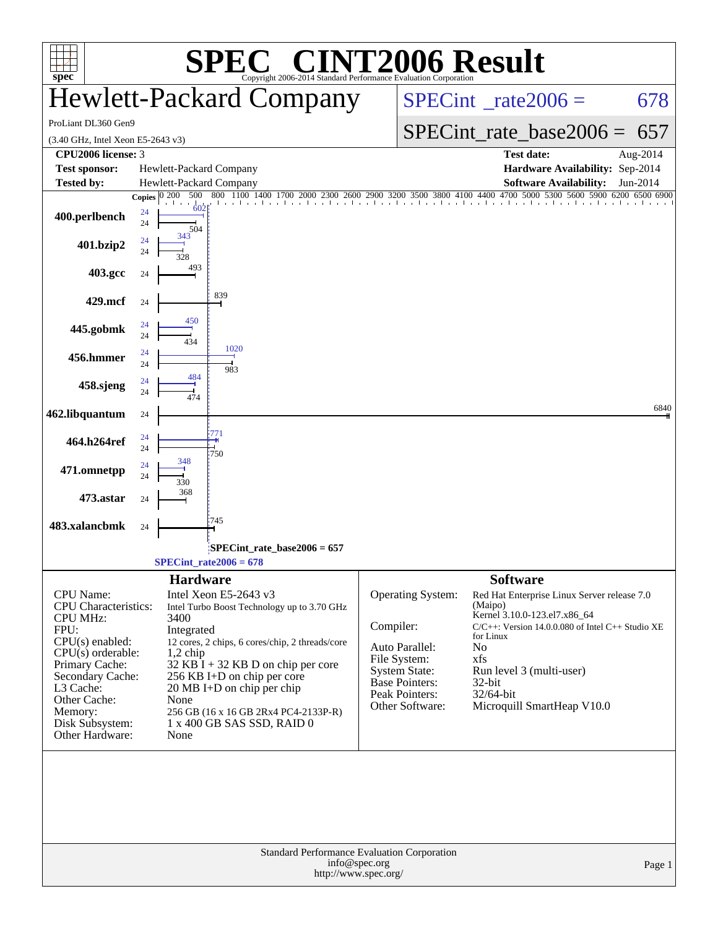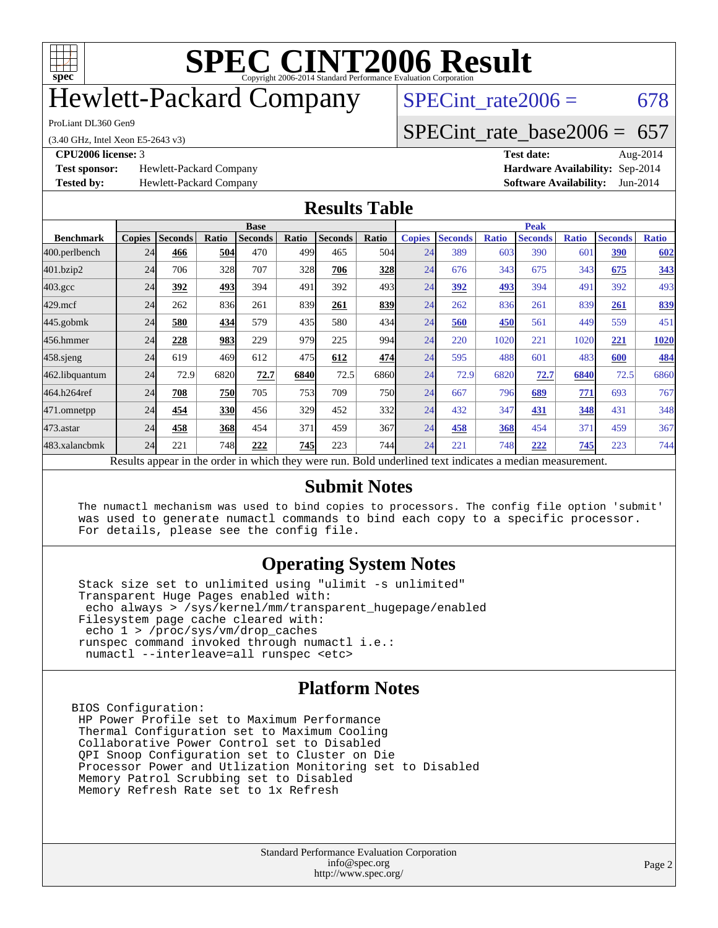

### Hewlett-Packard Company

ProLiant DL360 Gen9

(3.40 GHz, Intel Xeon E5-2643 v3)

**[Test sponsor:](http://www.spec.org/auto/cpu2006/Docs/result-fields.html#Testsponsor)** Hewlett-Packard Company **[Hardware Availability:](http://www.spec.org/auto/cpu2006/Docs/result-fields.html#HardwareAvailability)** Sep-2014

SPECint rate $2006 = 678$ 

#### [SPECint\\_rate\\_base2006 =](http://www.spec.org/auto/cpu2006/Docs/result-fields.html#SPECintratebase2006) 657

**[CPU2006 license:](http://www.spec.org/auto/cpu2006/Docs/result-fields.html#CPU2006license)** 3 **[Test date:](http://www.spec.org/auto/cpu2006/Docs/result-fields.html#Testdate)** Aug-2014 **[Tested by:](http://www.spec.org/auto/cpu2006/Docs/result-fields.html#Testedby)** Hewlett-Packard Company **[Software Availability:](http://www.spec.org/auto/cpu2006/Docs/result-fields.html#SoftwareAvailability)** Jun-2014

#### **[Results Table](http://www.spec.org/auto/cpu2006/Docs/result-fields.html#ResultsTable)**

|                    | <b>Base</b>   |                |            |                                                                                                          |            |                |              | <b>Peak</b>   |                |              |                |                 |                |              |
|--------------------|---------------|----------------|------------|----------------------------------------------------------------------------------------------------------|------------|----------------|--------------|---------------|----------------|--------------|----------------|-----------------|----------------|--------------|
| <b>Benchmark</b>   | <b>Copies</b> | <b>Seconds</b> | Ratio      | <b>Seconds</b>                                                                                           | Ratio      | <b>Seconds</b> | Ratio        | <b>Copies</b> | <b>Seconds</b> | <b>Ratio</b> | <b>Seconds</b> | <b>Ratio</b>    | <b>Seconds</b> | <b>Ratio</b> |
| 400.perlbench      | 24            | 466            | 504        | 470                                                                                                      | 4991       | 465            | 504          | 24            | 389            | 603          | 390            | 60 <sup>°</sup> | 390            | 602          |
| 401.bzip2          | 24            | 706            | 328        | 707                                                                                                      | 328        | 706            | 328          | 24            | 676            | 343          | 675            | 343             | 675            | 343          |
| $403.\mathrm{gcc}$ | 24            | 392            | 493        | 394                                                                                                      | 491        | 392            | 493          | 24            | 392            | 493          | 394            | 491             | 392            | 493          |
| $429$ .mcf         | 24            | 262            | 836        | 261                                                                                                      | 839        | 261            | 839          | 24            | 262            | 836          | 261            | 839             | 261            | 839          |
| $445$ .gobmk       | 24            | 580            | 434        | 579                                                                                                      | 435        | 580            | 434          | 24            | 560            | 450          | 561            | 449             | 559            | 451          |
| 456.hmmer          | 24            | 228            | 983        | 229                                                                                                      | 979        | 225            | 994          | 24            | 220            | 1020         | 221            | 1020            | 221            | 1020         |
| $458$ .sjeng       | 24            | 619            | 469        | 612                                                                                                      | 475        | 612            | 474          | 24            | 595            | 488          | 601            | 483             | 600            | <b>484</b>   |
| 462.libquantum     | 24            | 72.9           | 6820       | 72.7                                                                                                     | 6840       | 72.5           | 6860         | 24            | 72.9           | 6820         | 72.7           | 6840            | 72.5           | 6860         |
| 464.h264ref        | 24            | 708            | 750        | 705                                                                                                      | <b>753</b> | 709            | 750 <b>I</b> | 24            | 667            | 796          | 689            | 771             | 693            | 767          |
| 471.omnetpp        | 24            | 454            | <b>330</b> | 456                                                                                                      | 329        | 452            | 332          | 24            | 432            | 347          | 431            | 348             | 431            | 348          |
| $473$ . astar      | 24            | 458            | <b>368</b> | 454                                                                                                      | 371        | 459            | 367          | 24            | 458            | 368          | 454            | 371             | 459            | 367          |
| 483.xalancbmk      | 24            | 221            | 748        | 222                                                                                                      | 745        | 223            | 744          | 24            | 221            | 748          | 222            | 745             | 223            | 744          |
|                    |               |                |            | Results appear in the order in which they were run. Bold underlined text indicates a median measurement. |            |                |              |               |                |              |                |                 |                |              |

#### **[Submit Notes](http://www.spec.org/auto/cpu2006/Docs/result-fields.html#SubmitNotes)**

 The numactl mechanism was used to bind copies to processors. The config file option 'submit' was used to generate numactl commands to bind each copy to a specific processor. For details, please see the config file.

#### **[Operating System Notes](http://www.spec.org/auto/cpu2006/Docs/result-fields.html#OperatingSystemNotes)**

 Stack size set to unlimited using "ulimit -s unlimited" Transparent Huge Pages enabled with: echo always > /sys/kernel/mm/transparent\_hugepage/enabled Filesystem page cache cleared with: echo 1 > /proc/sys/vm/drop\_caches runspec command invoked through numactl i.e.: numactl --interleave=all runspec <etc>

#### **[Platform Notes](http://www.spec.org/auto/cpu2006/Docs/result-fields.html#PlatformNotes)**

BIOS Configuration: HP Power Profile set to Maximum Performance Thermal Configuration set to Maximum Cooling Collaborative Power Control set to Disabled QPI Snoop Configuration set to Cluster on Die Processor Power and Utlization Monitoring set to Disabled Memory Patrol Scrubbing set to Disabled Memory Refresh Rate set to 1x Refresh

> Standard Performance Evaluation Corporation [info@spec.org](mailto:info@spec.org) <http://www.spec.org/>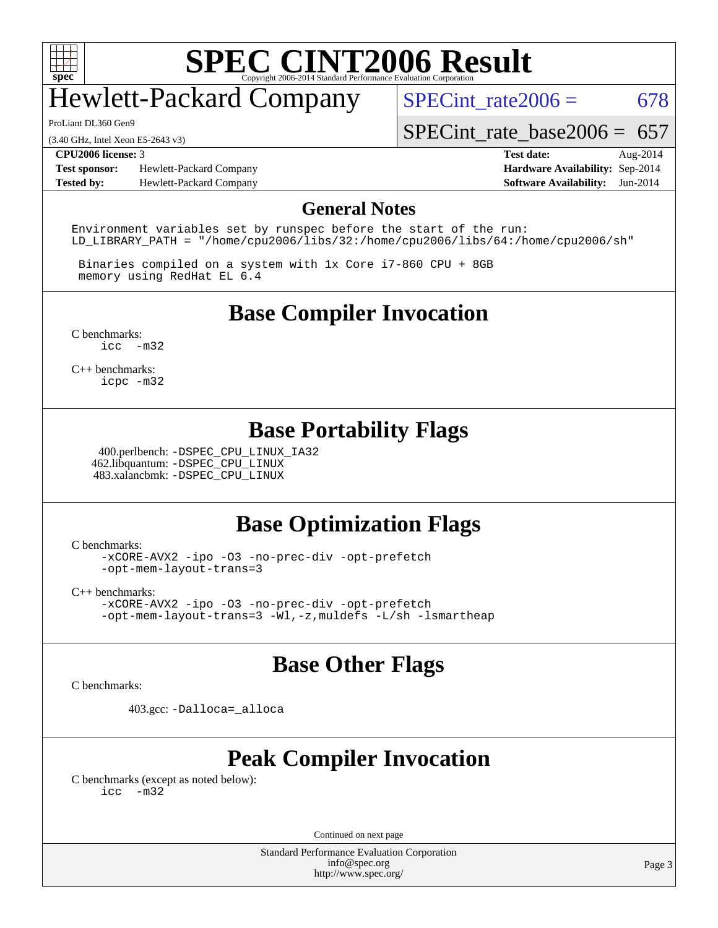

### Hewlett-Packard Company

ProLiant DL360 Gen9

(3.40 GHz, Intel Xeon E5-2643 v3)

**[Test sponsor:](http://www.spec.org/auto/cpu2006/Docs/result-fields.html#Testsponsor)** Hewlett-Packard Company **[Hardware Availability:](http://www.spec.org/auto/cpu2006/Docs/result-fields.html#HardwareAvailability)** Sep-2014 **[Tested by:](http://www.spec.org/auto/cpu2006/Docs/result-fields.html#Testedby)** Hewlett-Packard Company **[Software Availability:](http://www.spec.org/auto/cpu2006/Docs/result-fields.html#SoftwareAvailability)** Jun-2014

SPECint rate $2006 = 678$ 

SPECint rate base  $2006 = 657$ 

**[CPU2006 license:](http://www.spec.org/auto/cpu2006/Docs/result-fields.html#CPU2006license)** 3 **[Test date:](http://www.spec.org/auto/cpu2006/Docs/result-fields.html#Testdate)** Aug-2014

#### **[General Notes](http://www.spec.org/auto/cpu2006/Docs/result-fields.html#GeneralNotes)**

Environment variables set by runspec before the start of the run: LD LIBRARY PATH = "/home/cpu2006/libs/32:/home/cpu2006/libs/64:/home/cpu2006/sh"

 Binaries compiled on a system with 1x Core i7-860 CPU + 8GB memory using RedHat EL 6.4

**[Base Compiler Invocation](http://www.spec.org/auto/cpu2006/Docs/result-fields.html#BaseCompilerInvocation)**

[C benchmarks](http://www.spec.org/auto/cpu2006/Docs/result-fields.html#Cbenchmarks): [icc -m32](http://www.spec.org/cpu2006/results/res2014q3/cpu2006-20140908-31252.flags.html#user_CCbase_intel_icc_5ff4a39e364c98233615fdd38438c6f2)

[C++ benchmarks:](http://www.spec.org/auto/cpu2006/Docs/result-fields.html#CXXbenchmarks) [icpc -m32](http://www.spec.org/cpu2006/results/res2014q3/cpu2006-20140908-31252.flags.html#user_CXXbase_intel_icpc_4e5a5ef1a53fd332b3c49e69c3330699)

#### **[Base Portability Flags](http://www.spec.org/auto/cpu2006/Docs/result-fields.html#BasePortabilityFlags)**

 400.perlbench: [-DSPEC\\_CPU\\_LINUX\\_IA32](http://www.spec.org/cpu2006/results/res2014q3/cpu2006-20140908-31252.flags.html#b400.perlbench_baseCPORTABILITY_DSPEC_CPU_LINUX_IA32) 462.libquantum: [-DSPEC\\_CPU\\_LINUX](http://www.spec.org/cpu2006/results/res2014q3/cpu2006-20140908-31252.flags.html#b462.libquantum_baseCPORTABILITY_DSPEC_CPU_LINUX) 483.xalancbmk: [-DSPEC\\_CPU\\_LINUX](http://www.spec.org/cpu2006/results/res2014q3/cpu2006-20140908-31252.flags.html#b483.xalancbmk_baseCXXPORTABILITY_DSPEC_CPU_LINUX)

#### **[Base Optimization Flags](http://www.spec.org/auto/cpu2006/Docs/result-fields.html#BaseOptimizationFlags)**

[C benchmarks](http://www.spec.org/auto/cpu2006/Docs/result-fields.html#Cbenchmarks):

[-xCORE-AVX2](http://www.spec.org/cpu2006/results/res2014q3/cpu2006-20140908-31252.flags.html#user_CCbase_f-xAVX2_5f5fc0cbe2c9f62c816d3e45806c70d7) [-ipo](http://www.spec.org/cpu2006/results/res2014q3/cpu2006-20140908-31252.flags.html#user_CCbase_f-ipo) [-O3](http://www.spec.org/cpu2006/results/res2014q3/cpu2006-20140908-31252.flags.html#user_CCbase_f-O3) [-no-prec-div](http://www.spec.org/cpu2006/results/res2014q3/cpu2006-20140908-31252.flags.html#user_CCbase_f-no-prec-div) [-opt-prefetch](http://www.spec.org/cpu2006/results/res2014q3/cpu2006-20140908-31252.flags.html#user_CCbase_f-opt-prefetch) [-opt-mem-layout-trans=3](http://www.spec.org/cpu2006/results/res2014q3/cpu2006-20140908-31252.flags.html#user_CCbase_f-opt-mem-layout-trans_a7b82ad4bd7abf52556d4961a2ae94d5)

[C++ benchmarks:](http://www.spec.org/auto/cpu2006/Docs/result-fields.html#CXXbenchmarks)

[-xCORE-AVX2](http://www.spec.org/cpu2006/results/res2014q3/cpu2006-20140908-31252.flags.html#user_CXXbase_f-xAVX2_5f5fc0cbe2c9f62c816d3e45806c70d7) [-ipo](http://www.spec.org/cpu2006/results/res2014q3/cpu2006-20140908-31252.flags.html#user_CXXbase_f-ipo) [-O3](http://www.spec.org/cpu2006/results/res2014q3/cpu2006-20140908-31252.flags.html#user_CXXbase_f-O3) [-no-prec-div](http://www.spec.org/cpu2006/results/res2014q3/cpu2006-20140908-31252.flags.html#user_CXXbase_f-no-prec-div) [-opt-prefetch](http://www.spec.org/cpu2006/results/res2014q3/cpu2006-20140908-31252.flags.html#user_CXXbase_f-opt-prefetch) [-opt-mem-layout-trans=3](http://www.spec.org/cpu2006/results/res2014q3/cpu2006-20140908-31252.flags.html#user_CXXbase_f-opt-mem-layout-trans_a7b82ad4bd7abf52556d4961a2ae94d5) [-Wl,-z,muldefs](http://www.spec.org/cpu2006/results/res2014q3/cpu2006-20140908-31252.flags.html#user_CXXbase_link_force_multiple1_74079c344b956b9658436fd1b6dd3a8a) [-L/sh -lsmartheap](http://www.spec.org/cpu2006/results/res2014q3/cpu2006-20140908-31252.flags.html#user_CXXbase_SmartHeap_32f6c82aa1ed9c52345d30cf6e4a0499)

#### **[Base Other Flags](http://www.spec.org/auto/cpu2006/Docs/result-fields.html#BaseOtherFlags)**

[C benchmarks](http://www.spec.org/auto/cpu2006/Docs/result-fields.html#Cbenchmarks):

403.gcc: [-Dalloca=\\_alloca](http://www.spec.org/cpu2006/results/res2014q3/cpu2006-20140908-31252.flags.html#b403.gcc_baseEXTRA_CFLAGS_Dalloca_be3056838c12de2578596ca5467af7f3)

#### **[Peak Compiler Invocation](http://www.spec.org/auto/cpu2006/Docs/result-fields.html#PeakCompilerInvocation)**

[C benchmarks \(except as noted below\)](http://www.spec.org/auto/cpu2006/Docs/result-fields.html#Cbenchmarksexceptasnotedbelow): [icc -m32](http://www.spec.org/cpu2006/results/res2014q3/cpu2006-20140908-31252.flags.html#user_CCpeak_intel_icc_5ff4a39e364c98233615fdd38438c6f2)

Continued on next page

Standard Performance Evaluation Corporation [info@spec.org](mailto:info@spec.org) <http://www.spec.org/>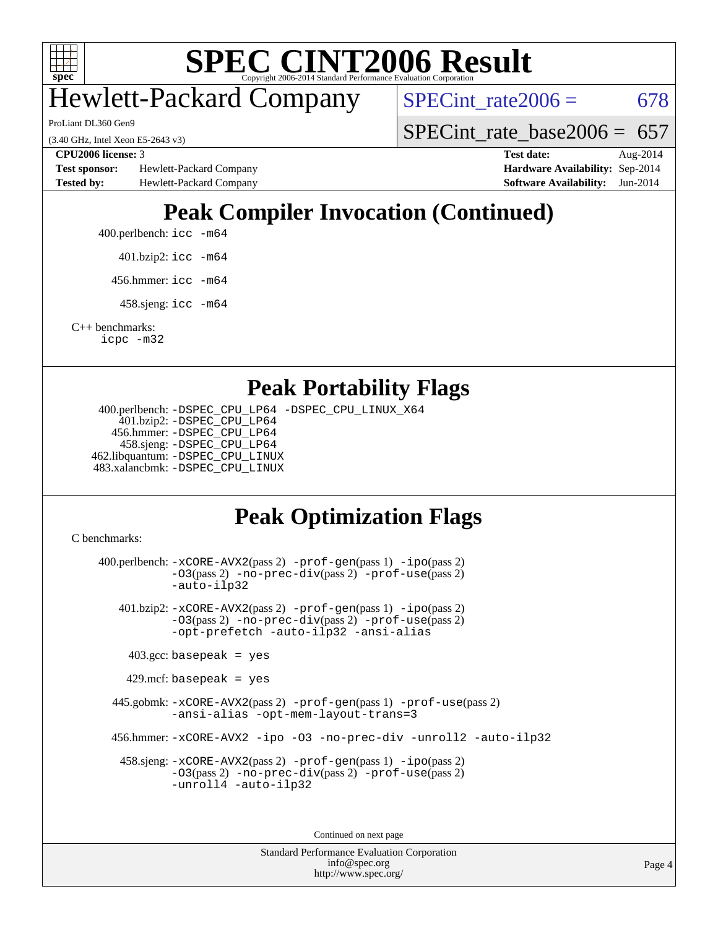

## Hewlett-Packard Company

ProLiant DL360 Gen9

(3.40 GHz, Intel Xeon E5-2643 v3)

**[Test sponsor:](http://www.spec.org/auto/cpu2006/Docs/result-fields.html#Testsponsor)** Hewlett-Packard Company **[Hardware Availability:](http://www.spec.org/auto/cpu2006/Docs/result-fields.html#HardwareAvailability)** Sep-2014 **[Tested by:](http://www.spec.org/auto/cpu2006/Docs/result-fields.html#Testedby)** Hewlett-Packard Company **[Software Availability:](http://www.spec.org/auto/cpu2006/Docs/result-fields.html#SoftwareAvailability)** Jun-2014

 $SPECTnt_rate2006 = 678$ 

[SPECint\\_rate\\_base2006 =](http://www.spec.org/auto/cpu2006/Docs/result-fields.html#SPECintratebase2006)  $657$ 

**[CPU2006 license:](http://www.spec.org/auto/cpu2006/Docs/result-fields.html#CPU2006license)** 3 **[Test date:](http://www.spec.org/auto/cpu2006/Docs/result-fields.html#Testdate)** Aug-2014

### **[Peak Compiler Invocation \(Continued\)](http://www.spec.org/auto/cpu2006/Docs/result-fields.html#PeakCompilerInvocation)**

400.perlbench: [icc -m64](http://www.spec.org/cpu2006/results/res2014q3/cpu2006-20140908-31252.flags.html#user_peakCCLD400_perlbench_intel_icc_64bit_bda6cc9af1fdbb0edc3795bac97ada53)

401.bzip2: [icc -m64](http://www.spec.org/cpu2006/results/res2014q3/cpu2006-20140908-31252.flags.html#user_peakCCLD401_bzip2_intel_icc_64bit_bda6cc9af1fdbb0edc3795bac97ada53)

456.hmmer: [icc -m64](http://www.spec.org/cpu2006/results/res2014q3/cpu2006-20140908-31252.flags.html#user_peakCCLD456_hmmer_intel_icc_64bit_bda6cc9af1fdbb0edc3795bac97ada53)

458.sjeng: [icc -m64](http://www.spec.org/cpu2006/results/res2014q3/cpu2006-20140908-31252.flags.html#user_peakCCLD458_sjeng_intel_icc_64bit_bda6cc9af1fdbb0edc3795bac97ada53)

[C++ benchmarks:](http://www.spec.org/auto/cpu2006/Docs/result-fields.html#CXXbenchmarks) [icpc -m32](http://www.spec.org/cpu2006/results/res2014q3/cpu2006-20140908-31252.flags.html#user_CXXpeak_intel_icpc_4e5a5ef1a53fd332b3c49e69c3330699)

#### **[Peak Portability Flags](http://www.spec.org/auto/cpu2006/Docs/result-fields.html#PeakPortabilityFlags)**

 400.perlbench: [-DSPEC\\_CPU\\_LP64](http://www.spec.org/cpu2006/results/res2014q3/cpu2006-20140908-31252.flags.html#b400.perlbench_peakCPORTABILITY_DSPEC_CPU_LP64) [-DSPEC\\_CPU\\_LINUX\\_X64](http://www.spec.org/cpu2006/results/res2014q3/cpu2006-20140908-31252.flags.html#b400.perlbench_peakCPORTABILITY_DSPEC_CPU_LINUX_X64) 401.bzip2: [-DSPEC\\_CPU\\_LP64](http://www.spec.org/cpu2006/results/res2014q3/cpu2006-20140908-31252.flags.html#suite_peakCPORTABILITY401_bzip2_DSPEC_CPU_LP64) 456.hmmer: [-DSPEC\\_CPU\\_LP64](http://www.spec.org/cpu2006/results/res2014q3/cpu2006-20140908-31252.flags.html#suite_peakCPORTABILITY456_hmmer_DSPEC_CPU_LP64) 458.sjeng: [-DSPEC\\_CPU\\_LP64](http://www.spec.org/cpu2006/results/res2014q3/cpu2006-20140908-31252.flags.html#suite_peakCPORTABILITY458_sjeng_DSPEC_CPU_LP64) 462.libquantum: [-DSPEC\\_CPU\\_LINUX](http://www.spec.org/cpu2006/results/res2014q3/cpu2006-20140908-31252.flags.html#b462.libquantum_peakCPORTABILITY_DSPEC_CPU_LINUX) 483.xalancbmk: [-DSPEC\\_CPU\\_LINUX](http://www.spec.org/cpu2006/results/res2014q3/cpu2006-20140908-31252.flags.html#b483.xalancbmk_peakCXXPORTABILITY_DSPEC_CPU_LINUX)

#### **[Peak Optimization Flags](http://www.spec.org/auto/cpu2006/Docs/result-fields.html#PeakOptimizationFlags)**

[C benchmarks](http://www.spec.org/auto/cpu2006/Docs/result-fields.html#Cbenchmarks):

 400.perlbench: [-xCORE-AVX2](http://www.spec.org/cpu2006/results/res2014q3/cpu2006-20140908-31252.flags.html#user_peakPASS2_CFLAGSPASS2_LDCFLAGS400_perlbench_f-xAVX2_5f5fc0cbe2c9f62c816d3e45806c70d7)(pass 2) [-prof-gen](http://www.spec.org/cpu2006/results/res2014q3/cpu2006-20140908-31252.flags.html#user_peakPASS1_CFLAGSPASS1_LDCFLAGS400_perlbench_prof_gen_e43856698f6ca7b7e442dfd80e94a8fc)(pass 1) [-ipo](http://www.spec.org/cpu2006/results/res2014q3/cpu2006-20140908-31252.flags.html#user_peakPASS2_CFLAGSPASS2_LDCFLAGS400_perlbench_f-ipo)(pass 2) [-O3](http://www.spec.org/cpu2006/results/res2014q3/cpu2006-20140908-31252.flags.html#user_peakPASS2_CFLAGSPASS2_LDCFLAGS400_perlbench_f-O3)(pass 2) [-no-prec-div](http://www.spec.org/cpu2006/results/res2014q3/cpu2006-20140908-31252.flags.html#user_peakPASS2_CFLAGSPASS2_LDCFLAGS400_perlbench_f-no-prec-div)(pass 2) [-prof-use](http://www.spec.org/cpu2006/results/res2014q3/cpu2006-20140908-31252.flags.html#user_peakPASS2_CFLAGSPASS2_LDCFLAGS400_perlbench_prof_use_bccf7792157ff70d64e32fe3e1250b55)(pass 2) [-auto-ilp32](http://www.spec.org/cpu2006/results/res2014q3/cpu2006-20140908-31252.flags.html#user_peakCOPTIMIZE400_perlbench_f-auto-ilp32) 401.bzip2: [-xCORE-AVX2](http://www.spec.org/cpu2006/results/res2014q3/cpu2006-20140908-31252.flags.html#user_peakPASS2_CFLAGSPASS2_LDCFLAGS401_bzip2_f-xAVX2_5f5fc0cbe2c9f62c816d3e45806c70d7)(pass 2) [-prof-gen](http://www.spec.org/cpu2006/results/res2014q3/cpu2006-20140908-31252.flags.html#user_peakPASS1_CFLAGSPASS1_LDCFLAGS401_bzip2_prof_gen_e43856698f6ca7b7e442dfd80e94a8fc)(pass 1) [-ipo](http://www.spec.org/cpu2006/results/res2014q3/cpu2006-20140908-31252.flags.html#user_peakPASS2_CFLAGSPASS2_LDCFLAGS401_bzip2_f-ipo)(pass 2) [-O3](http://www.spec.org/cpu2006/results/res2014q3/cpu2006-20140908-31252.flags.html#user_peakPASS2_CFLAGSPASS2_LDCFLAGS401_bzip2_f-O3)(pass 2) [-no-prec-div](http://www.spec.org/cpu2006/results/res2014q3/cpu2006-20140908-31252.flags.html#user_peakPASS2_CFLAGSPASS2_LDCFLAGS401_bzip2_f-no-prec-div)(pass 2) [-prof-use](http://www.spec.org/cpu2006/results/res2014q3/cpu2006-20140908-31252.flags.html#user_peakPASS2_CFLAGSPASS2_LDCFLAGS401_bzip2_prof_use_bccf7792157ff70d64e32fe3e1250b55)(pass 2) [-opt-prefetch](http://www.spec.org/cpu2006/results/res2014q3/cpu2006-20140908-31252.flags.html#user_peakCOPTIMIZE401_bzip2_f-opt-prefetch) [-auto-ilp32](http://www.spec.org/cpu2006/results/res2014q3/cpu2006-20140908-31252.flags.html#user_peakCOPTIMIZE401_bzip2_f-auto-ilp32) [-ansi-alias](http://www.spec.org/cpu2006/results/res2014q3/cpu2006-20140908-31252.flags.html#user_peakCOPTIMIZE401_bzip2_f-ansi-alias)  $403.\text{gcc: basepeak}$  = yes  $429$ .mcf: basepeak = yes 445.gobmk: [-xCORE-AVX2](http://www.spec.org/cpu2006/results/res2014q3/cpu2006-20140908-31252.flags.html#user_peakPASS2_CFLAGSPASS2_LDCFLAGS445_gobmk_f-xAVX2_5f5fc0cbe2c9f62c816d3e45806c70d7)(pass 2) [-prof-gen](http://www.spec.org/cpu2006/results/res2014q3/cpu2006-20140908-31252.flags.html#user_peakPASS1_CFLAGSPASS1_LDCFLAGS445_gobmk_prof_gen_e43856698f6ca7b7e442dfd80e94a8fc)(pass 1) [-prof-use](http://www.spec.org/cpu2006/results/res2014q3/cpu2006-20140908-31252.flags.html#user_peakPASS2_CFLAGSPASS2_LDCFLAGS445_gobmk_prof_use_bccf7792157ff70d64e32fe3e1250b55)(pass 2) [-ansi-alias](http://www.spec.org/cpu2006/results/res2014q3/cpu2006-20140908-31252.flags.html#user_peakCOPTIMIZE445_gobmk_f-ansi-alias) [-opt-mem-layout-trans=3](http://www.spec.org/cpu2006/results/res2014q3/cpu2006-20140908-31252.flags.html#user_peakCOPTIMIZE445_gobmk_f-opt-mem-layout-trans_a7b82ad4bd7abf52556d4961a2ae94d5) 456.hmmer: [-xCORE-AVX2](http://www.spec.org/cpu2006/results/res2014q3/cpu2006-20140908-31252.flags.html#user_peakCOPTIMIZE456_hmmer_f-xAVX2_5f5fc0cbe2c9f62c816d3e45806c70d7) [-ipo](http://www.spec.org/cpu2006/results/res2014q3/cpu2006-20140908-31252.flags.html#user_peakCOPTIMIZE456_hmmer_f-ipo) [-O3](http://www.spec.org/cpu2006/results/res2014q3/cpu2006-20140908-31252.flags.html#user_peakCOPTIMIZE456_hmmer_f-O3) [-no-prec-div](http://www.spec.org/cpu2006/results/res2014q3/cpu2006-20140908-31252.flags.html#user_peakCOPTIMIZE456_hmmer_f-no-prec-div) [-unroll2](http://www.spec.org/cpu2006/results/res2014q3/cpu2006-20140908-31252.flags.html#user_peakCOPTIMIZE456_hmmer_f-unroll_784dae83bebfb236979b41d2422d7ec2) [-auto-ilp32](http://www.spec.org/cpu2006/results/res2014q3/cpu2006-20140908-31252.flags.html#user_peakCOPTIMIZE456_hmmer_f-auto-ilp32) 458.sjeng: [-xCORE-AVX2](http://www.spec.org/cpu2006/results/res2014q3/cpu2006-20140908-31252.flags.html#user_peakPASS2_CFLAGSPASS2_LDCFLAGS458_sjeng_f-xAVX2_5f5fc0cbe2c9f62c816d3e45806c70d7)(pass 2) [-prof-gen](http://www.spec.org/cpu2006/results/res2014q3/cpu2006-20140908-31252.flags.html#user_peakPASS1_CFLAGSPASS1_LDCFLAGS458_sjeng_prof_gen_e43856698f6ca7b7e442dfd80e94a8fc)(pass 1) [-ipo](http://www.spec.org/cpu2006/results/res2014q3/cpu2006-20140908-31252.flags.html#user_peakPASS2_CFLAGSPASS2_LDCFLAGS458_sjeng_f-ipo)(pass 2) [-O3](http://www.spec.org/cpu2006/results/res2014q3/cpu2006-20140908-31252.flags.html#user_peakPASS2_CFLAGSPASS2_LDCFLAGS458_sjeng_f-O3)(pass 2) [-no-prec-div](http://www.spec.org/cpu2006/results/res2014q3/cpu2006-20140908-31252.flags.html#user_peakPASS2_CFLAGSPASS2_LDCFLAGS458_sjeng_f-no-prec-div)(pass 2) [-prof-use](http://www.spec.org/cpu2006/results/res2014q3/cpu2006-20140908-31252.flags.html#user_peakPASS2_CFLAGSPASS2_LDCFLAGS458_sjeng_prof_use_bccf7792157ff70d64e32fe3e1250b55)(pass 2) [-unroll4](http://www.spec.org/cpu2006/results/res2014q3/cpu2006-20140908-31252.flags.html#user_peakCOPTIMIZE458_sjeng_f-unroll_4e5e4ed65b7fd20bdcd365bec371b81f) [-auto-ilp32](http://www.spec.org/cpu2006/results/res2014q3/cpu2006-20140908-31252.flags.html#user_peakCOPTIMIZE458_sjeng_f-auto-ilp32)

> Standard Performance Evaluation Corporation [info@spec.org](mailto:info@spec.org) <http://www.spec.org/>

Continued on next page

Page 4